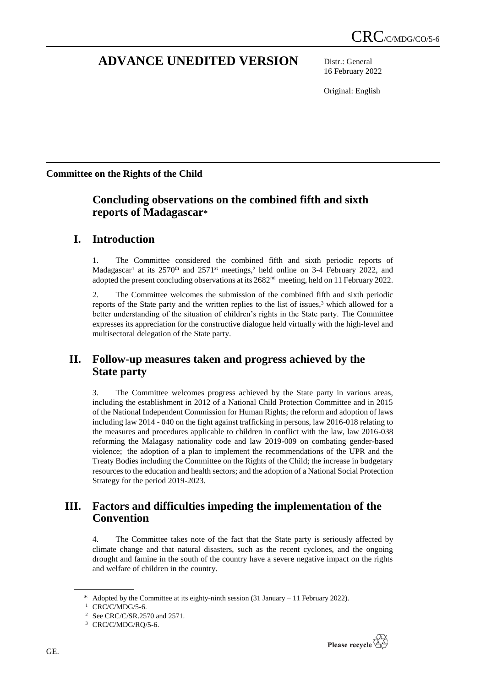# **ADVANCE UNEDITED VERSION** Distr.: General

16 February 2022

Original: English

# **Committee on the Rights of the Child**

# **Concluding observations on the combined fifth and sixth reports of Madagascar\***

# **I. Introduction**

1. The Committee considered the combined fifth and sixth periodic reports of Madagascar<sup>1</sup> at its  $2570<sup>th</sup>$  and  $2571<sup>st</sup>$  meetings,<sup>2</sup> held online on 3-4 February 2022, and adopted the present concluding observations at its 2682<sup>nd</sup> meeting, held on 11 February 2022.

2. The Committee welcomes the submission of the combined fifth and sixth periodic reports of the State party and the written replies to the list of issues,<sup>3</sup> which allowed for a better understanding of the situation of children's rights in the State party. The Committee expresses its appreciation for the constructive dialogue held virtually with the high-level and multisectoral delegation of the State party.

# **II. Follow-up measures taken and progress achieved by the State party**

3. The Committee welcomes progress achieved by the State party in various areas, including the establishment in 2012 of a National Child Protection Committee and in 2015 of the National Independent Commission for Human Rights; the reform and adoption of laws including law 2014 - 040 on the fight against trafficking in persons, law 2016-018 relating to the measures and procedures applicable to children in conflict with the law, law 2016-038 reforming the Malagasy nationality code and law 2019-009 on combating gender-based violence; the adoption of a plan to implement the recommendations of the UPR and the Treaty Bodies including the Committee on the Rights of the Child; the increase in budgetary resources to the education and health sectors; and the adoption of a National Social Protection Strategy for the period 2019-2023.

# **III. Factors and difficulties impeding the implementation of the Convention**

4. The Committee takes note of the fact that the State party is seriously affected by climate change and that natural disasters, such as the recent cyclones, and the ongoing drought and famine in the south of the country have a severe negative impact on the rights and welfare of children in the country.



<sup>\*</sup> Adopted by the Committee at its eighty-ninth session (31 January – 11 February 2022).

<sup>1</sup> CRC/C/MDG/5-6.

<sup>2</sup> See CRC/C/SR.2570 and 2571.

<sup>3</sup> CRC/C/MDG/RQ/5-6.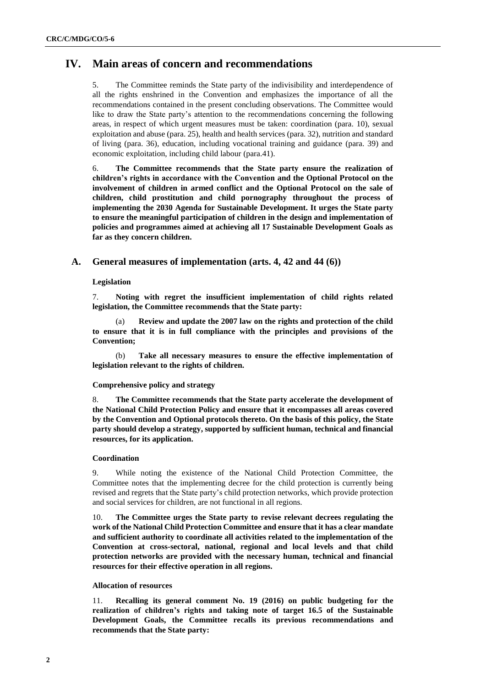# **IV. Main areas of concern and recommendations**

5. The Committee reminds the State party of the indivisibility and interdependence of all the rights enshrined in the Convention and emphasizes the importance of all the recommendations contained in the present concluding observations. The Committee would like to draw the State party's attention to the recommendations concerning the following areas, in respect of which urgent measures must be taken: coordination (para. 10), sexual exploitation and abuse (para. 25), health and health services (para. 32), nutrition and standard of living (para. 36), education, including vocational training and guidance (para. 39) and economic exploitation, including child labour (para.41).

6. **The Committee recommends that the State party ensure the realization of children's rights in accordance with the Convention and the Optional Protocol on the involvement of children in armed conflict and the Optional Protocol on the sale of children, child prostitution and child pornography throughout the process of implementing the 2030 Agenda for Sustainable Development. It urges the State party to ensure the meaningful participation of children in the design and implementation of policies and programmes aimed at achieving all 17 Sustainable Development Goals as far as they concern children.**

# **A. General measures of implementation (arts. 4, 42 and 44 (6))**

### **Legislation**

7. **Noting with regret the insufficient implementation of child rights related legislation, the Committee recommends that the State party:** 

(a) **Review and update the 2007 law on the rights and protection of the child to ensure that it is in full compliance with the principles and provisions of the Convention;**

(b) **Take all necessary measures to ensure the effective implementation of legislation relevant to the rights of children.**

### **Comprehensive policy and strategy**

8. **The Committee recommends that the State party accelerate the development of the National Child Protection Policy and ensure that it encompasses all areas covered by the Convention and Optional protocols thereto. On the basis of this policy, the State party should develop a strategy, supported by sufficient human, technical and financial resources, for its application.**

### **Coordination**

9. While noting the existence of the National Child Protection Committee, the Committee notes that the implementing decree for the child protection is currently being revised and regrets that the State party's child protection networks, which provide protection and social services for children, are not functional in all regions.

10. **The Committee urges the State party to revise relevant decrees regulating the work of the National Child Protection Committee and ensure that it has a clear mandate and sufficient authority to coordinate all activities related to the implementation of the Convention at cross-sectoral, national, regional and local levels and that child protection networks are provided with the necessary human, technical and financial resources for their effective operation in all regions.**

### **Allocation of resources**

11. **Recalling its general comment No. 19 (2016) on public budgeting for the realization of children's rights and taking note of target 16.5 of the Sustainable Development Goals, the Committee recalls its previous recommendations and recommends that the State party:**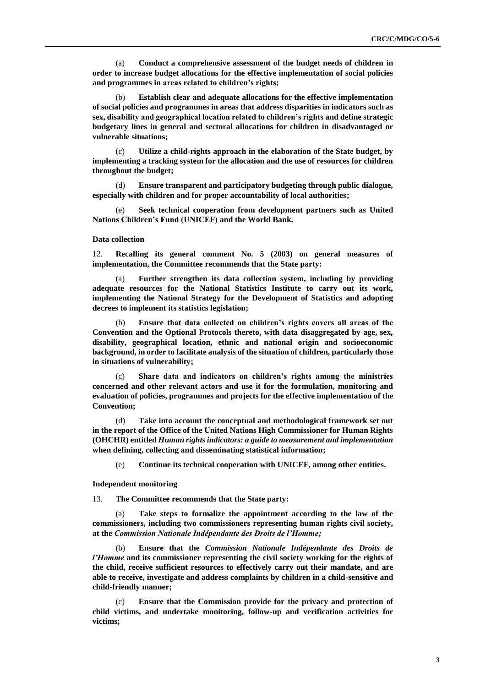(a) **Conduct a comprehensive assessment of the budget needs of children in order to increase budget allocations for the effective implementation of social policies and programmes in areas related to children's rights;**

(b) **Establish clear and adequate allocations for the effective implementation of social policies and programmes in areas that address disparities in indicators such as sex, disability and geographical location related to children's rights and define strategic budgetary lines in general and sectoral allocations for children in disadvantaged or vulnerable situations;**

(c) **Utilize a child-rights approach in the elaboration of the State budget, by implementing a tracking system for the allocation and the use of resources for children throughout the budget;**

(d) **Ensure transparent and participatory budgeting through public dialogue, especially with children and for proper accountability of local authorities;**

Seek technical cooperation from development partners such as United **Nations Children's Fund (UNICEF) and the World Bank.**

### **Data collection**

12. **Recalling its general comment No. 5 (2003) on general measures of implementation, the Committee recommends that the State party:**

(a) **Further strengthen its data collection system, including by providing adequate resources for the National Statistics Institute to carry out its work, implementing the National Strategy for the Development of Statistics and adopting decrees to implement its statistics legislation;**

(b) **Ensure that data collected on children's rights covers all areas of the Convention and the Optional Protocols thereto, with data disaggregated by age, sex, disability, geographical location, ethnic and national origin and socioeconomic background, in order to facilitate analysis of the situation of children, particularly those in situations of vulnerability;**

(c) **Share data and indicators on children's rights among the ministries concerned and other relevant actors and use it for the formulation, monitoring and evaluation of policies, programmes and projects for the effective implementation of the Convention;**

Take into account the conceptual and methodological framework set out **in the report of the Office of the United Nations High Commissioner for Human Rights (OHCHR) entitled** *Human rights indicators: a guide to measurement and implementation*  **when defining, collecting and disseminating statistical information;**

(e) **Continue its technical cooperation with UNICEF, among other entities.**

**Independent monitoring** 

13. **The Committee recommends that the State party:**

(a) **Take steps to formalize the appointment according to the law of the commissioners, including two commissioners representing human rights civil society, at the** *Commission Nationale Indépendante des Droits de l'Homme;*

(b) **Ensure that the** *Commission Nationale Indépendante des Droits de l'Homme* **and its commissioner representing the civil society working for the rights of the child, receive sufficient resources to effectively carry out their mandate, and are able to receive, investigate and address complaints by children in a child-sensitive and child-friendly manner;**

Ensure that the Commission provide for the privacy and protection of **child victims, and undertake monitoring, follow-up and verification activities for victims;**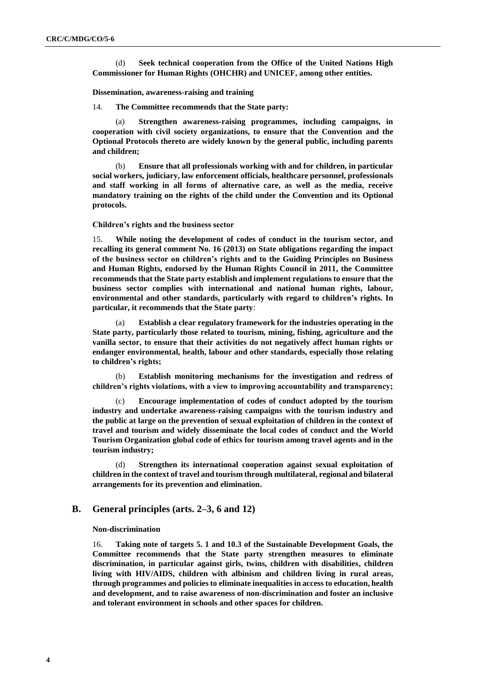(d) **Seek technical cooperation from the Office of the United Nations High Commissioner for Human Rights (OHCHR) and UNICEF, among other entities.**

**Dissemination, awareness-raising and training**

14. **The Committee recommends that the State party:**

(a) **Strengthen awareness-raising programmes, including campaigns, in cooperation with civil society organizations, to ensure that the Convention and the Optional Protocols thereto are widely known by the general public, including parents and children;**

(b) **Ensure that all professionals working with and for children, in particular social workers, judiciary, law enforcement officials, healthcare personnel, professionals and staff working in all forms of alternative care, as well as the media, receive mandatory training on the rights of the child under the Convention and its Optional protocols.**

#### **Children's rights and the business sector**

15. **While noting the development of codes of conduct in the tourism sector, and recalling its general comment No. 16 (2013) on State obligations regarding the impact of the business sector on children's rights and to the Guiding Principles on Business and Human Rights, endorsed by the Human Rights Council in 2011, the Committee recommends that the State party establish and implement regulations to ensure that the business sector complies with international and national human rights, labour, environmental and other standards, particularly with regard to children's rights. In particular, it recommends that the State party**:

(a) **Establish a clear regulatory framework for the industries operating in the State party, particularly those related to tourism, mining, fishing, agriculture and the vanilla sector, to ensure that their activities do not negatively affect human rights or endanger environmental, health, labour and other standards, especially those relating to children's rights;**

(b) **Establish monitoring mechanisms for the investigation and redress of children's rights violations, with a view to improving accountability and transparency;**

(c) **Encourage implementation of codes of conduct adopted by the tourism industry and undertake awareness-raising campaigns with the tourism industry and the public at large on the prevention of sexual exploitation of children in the context of travel and tourism and widely disseminate the local codes of conduct and the World Tourism Organization global code of ethics for tourism among travel agents and in the tourism industry;** 

(d) **Strengthen its international cooperation against sexual exploitation of children in the context of travel and tourism through multilateral, regional and bilateral arrangements for its prevention and elimination.**

# **B. General principles (arts. 2–3, 6 and 12)**

#### **Non-discrimination**

16. **Taking note of targets 5. 1 and 10.3 of the Sustainable Development Goals, the Committee recommends that the State party strengthen measures to eliminate discrimination, in particular against girls, twins, children with disabilities, children living with HIV/AIDS, children with albinism and children living in rural areas, through programmes and policies to eliminate inequalities in access to education, health and development, and to raise awareness of non-discrimination and foster an inclusive and tolerant environment in schools and other spaces for children.**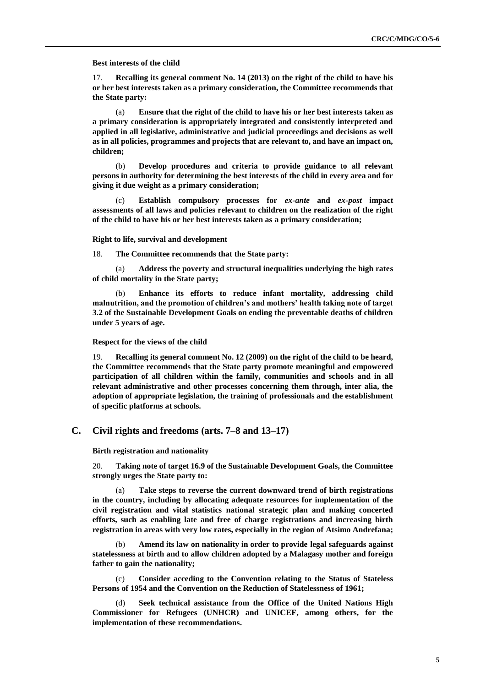**Best interests of the child**

17. **Recalling its general comment No. 14 (2013) on the right of the child to have his or her best interests taken as a primary consideration, the Committee recommends that the State party:**

(a) **Ensure that the right of the child to have his or her best interests taken as a primary consideration is appropriately integrated and consistently interpreted and applied in all legislative, administrative and judicial proceedings and decisions as well as in all policies, programmes and projects that are relevant to, and have an impact on, children;**

(b) **Develop procedures and criteria to provide guidance to all relevant persons in authority for determining the best interests of the child in every area and for giving it due weight as a primary consideration;**

(c) **Establish compulsory processes for** *ex-ante* **and** *ex-post* **impact assessments of all laws and policies relevant to children on the realization of the right of the child to have his or her best interests taken as a primary consideration;**

**Right to life, survival and development**

18. **The Committee recommends that the State party:**

(a) **Address the poverty and structural inequalities underlying the high rates of child mortality in the State party;**

(b) **Enhance its efforts to reduce infant mortality, addressing child malnutrition, and the promotion of children's and mothers' health taking note of target 3.2 of the Sustainable Development Goals on ending the preventable deaths of children under 5 years of age.**

**Respect for the views of the child**

19. **Recalling its general comment No. 12 (2009) on the right of the child to be heard, the Committee recommends that the State party promote meaningful and empowered participation of all children within the family, communities and schools and in all relevant administrative and other processes concerning them through, inter alia, the adoption of appropriate legislation, the training of professionals and the establishment of specific platforms at schools.**

### **C. Civil rights and freedoms (arts. 7–8 and 13–17)**

**Birth registration and nationality**

20. **Taking note of target 16.9 of the Sustainable Development Goals, the Committee strongly urges the State party to:**

(a) **Take steps to reverse the current downward trend of birth registrations in the country, including by allocating adequate resources for implementation of the civil registration and vital statistics national strategic plan and making concerted efforts, such as enabling late and free of charge registrations and increasing birth registration in areas with very low rates, especially in the region of Atsimo Andrefana;**

(b) **Amend its law on nationality in order to provide legal safeguards against statelessness at birth and to allow children adopted by a Malagasy mother and foreign father to gain the nationality;** 

(c) **Consider acceding to the Convention relating to the Status of Stateless Persons of 1954 and the Convention on the Reduction of Statelessness of 1961;**

(d) **Seek technical assistance from the Office of the United Nations High Commissioner for Refugees (UNHCR) and UNICEF, among others, for the implementation of these recommendations.**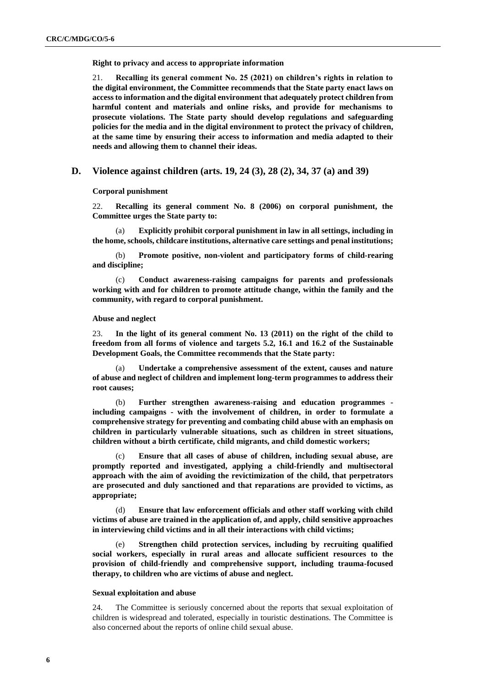**Right to privacy and access to appropriate information**

21. **Recalling its general comment No. 25 (2021) on children's rights in relation to the digital environment, the Committee recommends that the State party enact laws on access to information and the digital environment that adequately protect children from harmful content and materials and online risks, and provide for mechanisms to prosecute violations. The State party should develop regulations and safeguarding policies for the media and in the digital environment to protect the privacy of children, at the same time by ensuring their access to information and media adapted to their needs and allowing them to channel their ideas.**

### **D. Violence against children (arts. 19, 24 (3), 28 (2), 34, 37 (a) and 39)**

**Corporal punishment**

22. **Recalling its general comment No. 8 (2006) on corporal punishment, the Committee urges the State party to:**

(a) **Explicitly prohibit corporal punishment in law in all settings, including in the home, schools, childcare institutions, alternative care settings and penal institutions;** 

(b) **Promote positive, non-violent and participatory forms of child-rearing and discipline;**

(c) **Conduct awareness-raising campaigns for parents and professionals working with and for children to promote attitude change, within the family and the community, with regard to corporal punishment.**

### **Abuse and neglect**

23. **In the light of its general comment No. 13 (2011) on the right of the child to freedom from all forms of violence and targets 5.2, 16.1 and 16.2 of the Sustainable Development Goals, the Committee recommends that the State party:**

(a) **Undertake a comprehensive assessment of the extent, causes and nature of abuse and neglect of children and implement long-term programmes to address their root causes;**

(b) **Further strengthen awareness-raising and education programmes including campaigns - with the involvement of children, in order to formulate a comprehensive strategy for preventing and combating child abuse with an emphasis on children in particularly vulnerable situations, such as children in street situations, children without a birth certificate, child migrants, and child domestic workers;**

(c) **Ensure that all cases of abuse of children, including sexual abuse, are promptly reported and investigated, applying a child-friendly and multisectoral approach with the aim of avoiding the revictimization of the child, that perpetrators are prosecuted and duly sanctioned and that reparations are provided to victims, as appropriate;**

(d) **Ensure that law enforcement officials and other staff working with child victims of abuse are trained in the application of, and apply, child sensitive approaches in interviewing child victims and in all their interactions with child victims;** 

Strengthen child protection services, including by recruiting qualified **social workers, especially in rural areas and allocate sufficient resources to the provision of child-friendly and comprehensive support, including trauma-focused therapy, to children who are victims of abuse and neglect.**

### **Sexual exploitation and abuse**

24. The Committee is seriously concerned about the reports that sexual exploitation of children is widespread and tolerated, especially in touristic destinations. The Committee is also concerned about the reports of online child sexual abuse.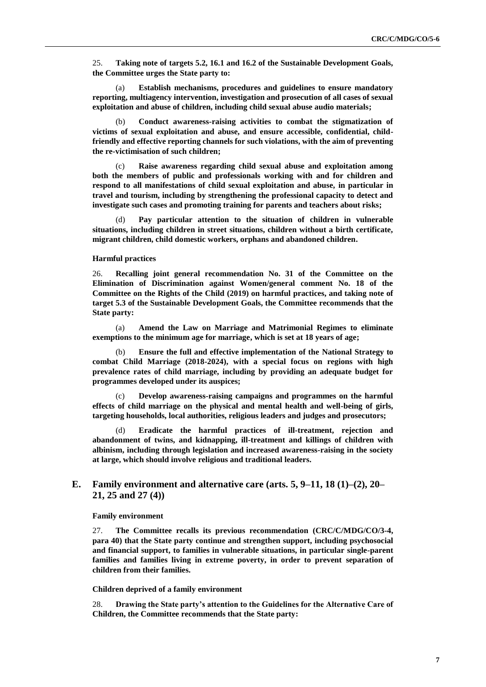25. **Taking note of targets 5.2, 16.1 and 16.2 of the Sustainable Development Goals, the Committee urges the State party to:**

(a) **Establish mechanisms, procedures and guidelines to ensure mandatory reporting, multiagency intervention, investigation and prosecution of all cases of sexual exploitation and abuse of children, including child sexual abuse audio materials;**

(b) **Conduct awareness-raising activities to combat the stigmatization of victims of sexual exploitation and abuse, and ensure accessible, confidential, childfriendly and effective reporting channels for such violations, with the aim of preventing the re-victimisation of such children;**

(c) **Raise awareness regarding child sexual abuse and exploitation among both the members of public and professionals working with and for children and respond to all manifestations of child sexual exploitation and abuse, in particular in travel and tourism, including by strengthening the professional capacity to detect and investigate such cases and promoting training for parents and teachers about risks;** 

(d) **Pay particular attention to the situation of children in vulnerable situations, including children in street situations, children without a birth certificate, migrant children, child domestic workers, orphans and abandoned children.**

### **Harmful practices**

26. **Recalling joint general recommendation No. 31 of the Committee on the Elimination of Discrimination against Women/general comment No. 18 of the Committee on the Rights of the Child (2019) on harmful practices, and taking note of target 5.3 of the Sustainable Development Goals, the Committee recommends that the State party:**

(a) **Amend the Law on Marriage and Matrimonial Regimes to eliminate exemptions to the minimum age for marriage, which is set at 18 years of age;**

(b) **Ensure the full and effective implementation of the National Strategy to combat Child Marriage (2018-2024), with a special focus on regions with high prevalence rates of child marriage, including by providing an adequate budget for programmes developed under its auspices;** 

(c) **Develop awareness-raising campaigns and programmes on the harmful effects of child marriage on the physical and mental health and well-being of girls, targeting households, local authorities, religious leaders and judges and prosecutors;**

(d) **Eradicate the harmful practices of ill-treatment, rejection and abandonment of twins, and kidnapping, ill-treatment and killings of children with albinism, including through legislation and increased awareness-raising in the society at large, which should involve religious and traditional leaders.** 

# **E. Family environment and alternative care (arts. 5, 9–11, 18 (1)–(2), 20– 21, 25 and 27 (4))**

#### **Family environment**

27. **The Committee recalls its previous recommendation (CRC/C/MDG/CO/3-4, para 40) that the State party continue and strengthen support, including psychosocial and financial support, to families in vulnerable situations, in particular single-parent families and families living in extreme poverty, in order to prevent separation of children from their families.**

#### **Children deprived of a family environment**

28. **Drawing the State party's attention to the Guidelines for the Alternative Care of Children, the Committee recommends that the State party:**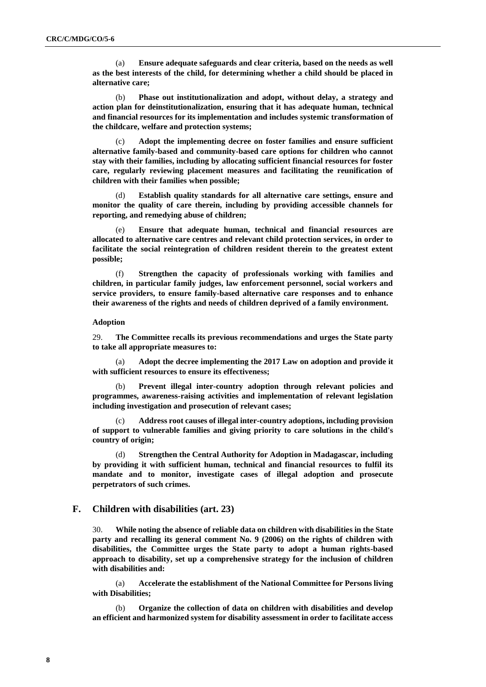(a) **Ensure adequate safeguards and clear criteria, based on the needs as well as the best interests of the child, for determining whether a child should be placed in alternative care;**

(b) **Phase out institutionalization and adopt, without delay, a strategy and action plan for deinstitutionalization, ensuring that it has adequate human, technical and financial resources for its implementation and includes systemic transformation of the childcare, welfare and protection systems;**

(c) **Adopt the implementing decree on foster families and ensure sufficient alternative family-based and community-based care options for children who cannot stay with their families, including by allocating sufficient financial resources for foster care, regularly reviewing placement measures and facilitating the reunification of children with their families when possible;** 

(d) **Establish quality standards for all alternative care settings, ensure and monitor the quality of care therein, including by providing accessible channels for reporting, and remedying abuse of children;**

(e) **Ensure that adequate human, technical and financial resources are allocated to alternative care centres and relevant child protection services, in order to facilitate the social reintegration of children resident therein to the greatest extent possible;**

(f) **Strengthen the capacity of professionals working with families and children, in particular family judges, law enforcement personnel, social workers and service providers, to ensure family-based alternative care responses and to enhance their awareness of the rights and needs of children deprived of a family environment.**

#### **Adoption**

29. **The Committee recalls its previous recommendations and urges the State party to take all appropriate measures to:**

(a) **Adopt the decree implementing the 2017 Law on adoption and provide it with sufficient resources to ensure its effectiveness;**

(b) **Prevent illegal inter-country adoption through relevant policies and programmes, awareness-raising activities and implementation of relevant legislation including investigation and prosecution of relevant cases;** 

(c) **Address root causes of illegal inter-country adoptions, including provision of support to vulnerable families and giving priority to care solutions in the child's country of origin;** 

**Strengthen the Central Authority for Adoption in Madagascar, including by providing it with sufficient human, technical and financial resources to fulfil its mandate and to monitor, investigate cases of illegal adoption and prosecute perpetrators of such crimes.**

# **F. Children with disabilities (art. 23)**

30. **While noting the absence of reliable data on children with disabilities in the State party and recalling its general comment No. 9 (2006) on the rights of children with disabilities, the Committee urges the State party to adopt a human rights-based approach to disability, set up a comprehensive strategy for the inclusion of children with disabilities and:**

(a) **Accelerate the establishment of the National Committee for Persons living with Disabilities;** 

(b) **Organize the collection of data on children with disabilities and develop an efficient and harmonized system for disability assessment in order to facilitate access**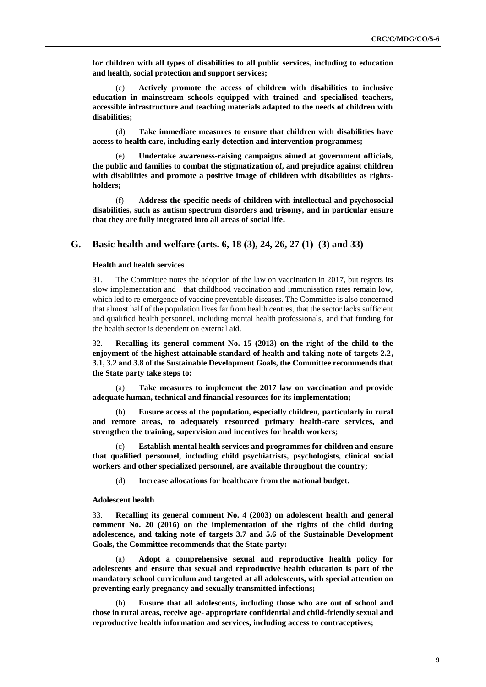**for children with all types of disabilities to all public services, including to education and health, social protection and support services;**

(c) **Actively promote the access of children with disabilities to inclusive education in mainstream schools equipped with trained and specialised teachers, accessible infrastructure and teaching materials adapted to the needs of children with disabilities;**

(d) **Take immediate measures to ensure that children with disabilities have access to health care, including early detection and intervention programmes;**

(e) **Undertake awareness-raising campaigns aimed at government officials, the public and families to combat the stigmatization of, and prejudice against children with disabilities and promote a positive image of children with disabilities as rightsholders;**

(f) **Address the specific needs of children with intellectual and psychosocial disabilities, such as autism spectrum disorders and trisomy, and in particular ensure that they are fully integrated into all areas of social life.**

# **G. Basic health and welfare (arts. 6, 18 (3), 24, 26, 27 (1)–(3) and 33)**

### **Health and health services**

31. The Committee notes the adoption of the law on vaccination in 2017, but regrets its slow implementation and that childhood vaccination and immunisation rates remain low, which led to re-emergence of vaccine preventable diseases. The Committee is also concerned that almost half of the population lives far from health centres, that the sector lacks sufficient and qualified health personnel, including mental health professionals, and that funding for the health sector is dependent on external aid.

32. **Recalling its general comment No. 15 (2013) on the right of the child to the enjoyment of the highest attainable standard of health and taking note of targets 2.2, 3.1, 3.2 and 3.8 of the Sustainable Development Goals, the Committee recommends that the State party take steps to:**

(a) **Take measures to implement the 2017 law on vaccination and provide adequate human, technical and financial resources for its implementation;**

(b) **Ensure access of the population, especially children, particularly in rural and remote areas, to adequately resourced primary health-care services, and strengthen the training, supervision and incentives for health workers;**

**Establish mental health services and programmes for children and ensure that qualified personnel, including child psychiatrists, psychologists, clinical social workers and other specialized personnel, are available throughout the country;**

(d) **Increase allocations for healthcare from the national budget.**

#### **Adolescent health**

33. **Recalling its general comment No. 4 (2003) on adolescent health and general comment No. 20 (2016) on the implementation of the rights of the child during adolescence, and taking note of targets 3.7 and 5.6 of the Sustainable Development Goals, the Committee recommends that the State party:**

(a) **Adopt a comprehensive sexual and reproductive health policy for adolescents and ensure that sexual and reproductive health education is part of the mandatory school curriculum and targeted at all adolescents, with special attention on preventing early pregnancy and sexually transmitted infections;**

(b) **Ensure that all adolescents, including those who are out of school and those in rural areas, receive age- appropriate confidential and child-friendly sexual and reproductive health information and services, including access to contraceptives;**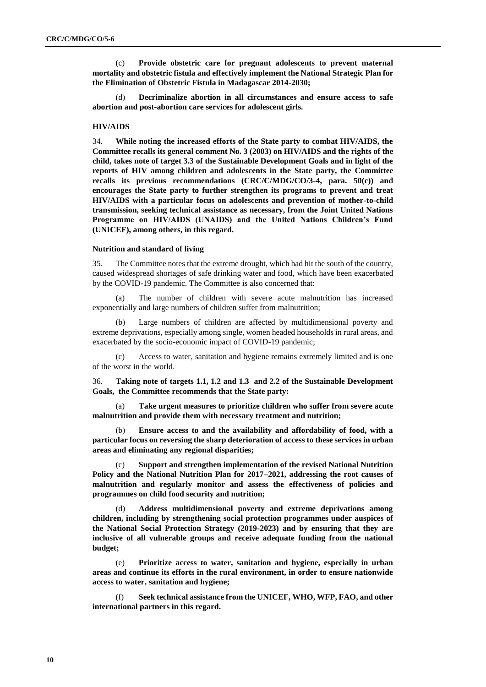(c) **Provide obstetric care for pregnant adolescents to prevent maternal mortality and obstetric fistula and effectively implement the National Strategic Plan for the Elimination of Obstetric Fistula in Madagascar 2014-2030;**

(d) **Decriminalize abortion in all circumstances and ensure access to safe abortion and post-abortion care services for adolescent girls.**

#### **HIV/AIDS**

34. **While noting the increased efforts of the State party to combat HIV/AIDS, the Committee recalls its general comment No. 3 (2003) on HIV/AIDS and the rights of the child, takes note of target 3.3 of the Sustainable Development Goals and in light of the reports of HIV among children and adolescents in the State party, the Committee recalls its previous recommendations (CRC/C/MDG/CO/3-4, para. 50(c)) and encourages the State party to further strengthen its programs to prevent and treat HIV/AIDS with a particular focus on adolescents and prevention of mother-to-child transmission, seeking technical assistance as necessary, from the Joint United Nations Programme on HIV/AIDS (UNAIDS) and the United Nations Children's Fund (UNICEF), among others, in this regard.**

#### **Nutrition and standard of living**

35. The Committee notes that the extreme drought, which had hit the south of the country, caused widespread shortages of safe drinking water and food, which have been exacerbated by the COVID-19 pandemic. The Committee is also concerned that:

(a) The number of children with severe acute malnutrition has increased exponentially and large numbers of children suffer from malnutrition;

(b) Large numbers of children are affected by multidimensional poverty and extreme deprivations, especially among single, women headed households in rural areas, and exacerbated by the socio-economic impact of COVID-19 pandemic;

(c) Access to water, sanitation and hygiene remains extremely limited and is one of the worst in the world.

36. **Taking note of targets 1.1, 1.2 and 1.3 and 2.2 of the Sustainable Development Goals, the Committee recommends that the State party:** 

(a) **Take urgent measures to prioritize children who suffer from severe acute malnutrition and provide them with necessary treatment and nutrition;**

(b) **Ensure access to and the availability and affordability of food, with a particular focus on reversing the sharp deterioration of access to these services in urban areas and eliminating any regional disparities;**

**Support and strengthen implementation of the revised National Nutrition Policy and the National Nutrition Plan for 2017–2021, addressing the root causes of malnutrition and regularly monitor and assess the effectiveness of policies and programmes on child food security and nutrition;** 

(d) **Address multidimensional poverty and extreme deprivations among children, including by strengthening social protection programmes under auspices of the National Social Protection Strategy (2019-2023) and by ensuring that they are inclusive of all vulnerable groups and receive adequate funding from the national budget;**

(e) **Prioritize access to water, sanitation and hygiene, especially in urban areas and continue its efforts in the rural environment, in order to ensure nationwide access to water, sanitation and hygiene;**

(f) **Seek technical assistance from the UNICEF, WHO, WFP, FAO, and other international partners in this regard.**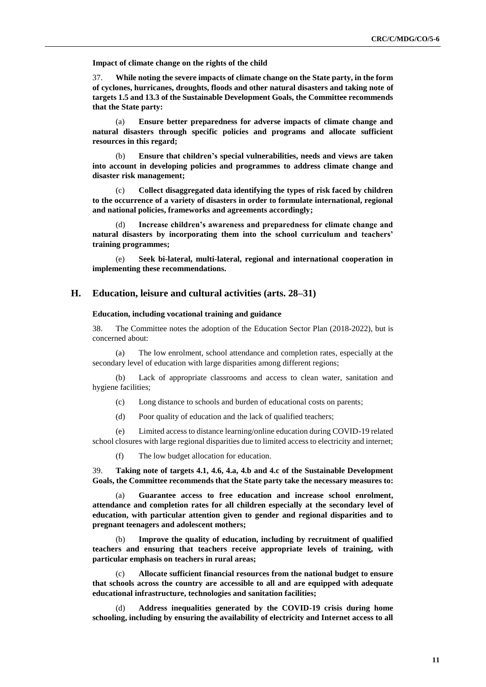**Impact of climate change on the rights of the child**

37. **While noting the severe impacts of climate change on the State party, in the form of cyclones, hurricanes, droughts, floods and other natural disasters and taking note of targets 1.5 and 13.3 of the Sustainable Development Goals, the Committee recommends that the State party:**

(a) **Ensure better preparedness for adverse impacts of climate change and natural disasters through specific policies and programs and allocate sufficient resources in this regard;** 

(b) **Ensure that children's special vulnerabilities, needs and views are taken into account in developing policies and programmes to address climate change and disaster risk management;**

(c) **Collect disaggregated data identifying the types of risk faced by children to the occurrence of a variety of disasters in order to formulate international, regional and national policies, frameworks and agreements accordingly;**

(d) **Increase children's awareness and preparedness for climate change and natural disasters by incorporating them into the school curriculum and teachers' training programmes;**

(e) **Seek bi-lateral, multi-lateral, regional and international cooperation in implementing these recommendations.**

## **H. Education, leisure and cultural activities (arts. 28–31)**

#### **Education, including vocational training and guidance**

38. The Committee notes the adoption of the Education Sector Plan (2018-2022), but is concerned about:

(a) The low enrolment, school attendance and completion rates, especially at the secondary level of education with large disparities among different regions;

(b) Lack of appropriate classrooms and access to clean water, sanitation and hygiene facilities;

- (c) Long distance to schools and burden of educational costs on parents;
- (d) Poor quality of education and the lack of qualified teachers;

(e) Limited access to distance learning/online education during COVID-19 related school closures with large regional disparities due to limited access to electricity and internet;

(f) The low budget allocation for education.

39. **Taking note of targets 4.1, 4.6, 4.a, 4.b and 4.c of the Sustainable Development Goals, the Committee recommends that the State party take the necessary measures to:**

(a) **Guarantee access to free education and increase school enrolment, attendance and completion rates for all children especially at the secondary level of education, with particular attention given to gender and regional disparities and to pregnant teenagers and adolescent mothers;**

(b) **Improve the quality of education, including by recruitment of qualified teachers and ensuring that teachers receive appropriate levels of training, with particular emphasis on teachers in rural areas;**

(c) **Allocate sufficient financial resources from the national budget to ensure that schools across the country are accessible to all and are equipped with adequate educational infrastructure, technologies and sanitation facilities;**

(d) **Address inequalities generated by the COVID-19 crisis during home schooling, including by ensuring the availability of electricity and Internet access to all**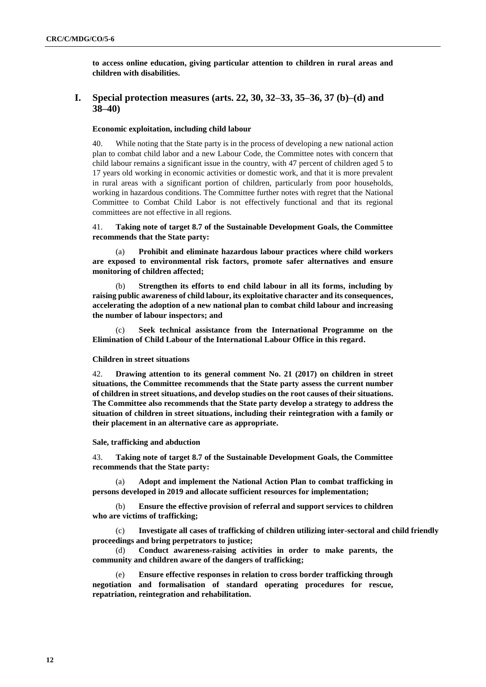**to access online education, giving particular attention to children in rural areas and children with disabilities.**

# **I. Special protection measures (arts. 22, 30, 32–33, 35–36, 37 (b)–(d) and 38–40)**

### **Economic exploitation, including child labour**

40. While noting that the State party is in the process of developing a new national action plan to combat child labor and a new Labour Code, the Committee notes with concern that child labour remains a significant issue in the country, with 47 percent of children aged 5 to 17 years old working in economic activities or domestic work, and that it is more prevalent in rural areas with a significant portion of children, particularly from poor households, working in hazardous conditions. The Committee further notes with regret that the National Committee to Combat Child Labor is not effectively functional and that its regional committees are not effective in all regions.

41. **Taking note of target 8.7 of the Sustainable Development Goals, the Committee recommends that the State party:**

(a) **Prohibit and eliminate hazardous labour practices where child workers are exposed to environmental risk factors, promote safer alternatives and ensure monitoring of children affected;**

(b) **Strengthen its efforts to end child labour in all its forms, including by raising public awareness of child labour, its exploitative character and its consequences, accelerating the adoption of a new national plan to combat child labour and increasing the number of labour inspectors; and**

(c) **Seek technical assistance from the International Programme on the Elimination of Child Labour of the International Labour Office in this regard.**

#### **Children in street situations**

42. **Drawing attention to its general comment No. 21 (2017) on children in street situations, the Committee recommends that the State party assess the current number of children in street situations, and develop studies on the root causes of their situations. The Committee also recommends that the State party develop a strategy to address the situation of children in street situations, including their reintegration with a family or their placement in an alternative care as appropriate.**

#### **Sale, trafficking and abduction**

43. **Taking note of target 8.7 of the Sustainable Development Goals, the Committee recommends that the State party:**

(a) **Adopt and implement the National Action Plan to combat trafficking in persons developed in 2019 and allocate sufficient resources for implementation;**

(b) **Ensure the effective provision of referral and support services to children who are victims of trafficking;**

(c) **Investigate all cases of trafficking of children utilizing inter-sectoral and child friendly proceedings and bring perpetrators to justice;** 

(d) **Conduct awareness-raising activities in order to make parents, the community and children aware of the dangers of trafficking;**

(e) **Ensure effective responses in relation to cross border trafficking through negotiation and formalisation of standard operating procedures for rescue, repatriation, reintegration and rehabilitation.**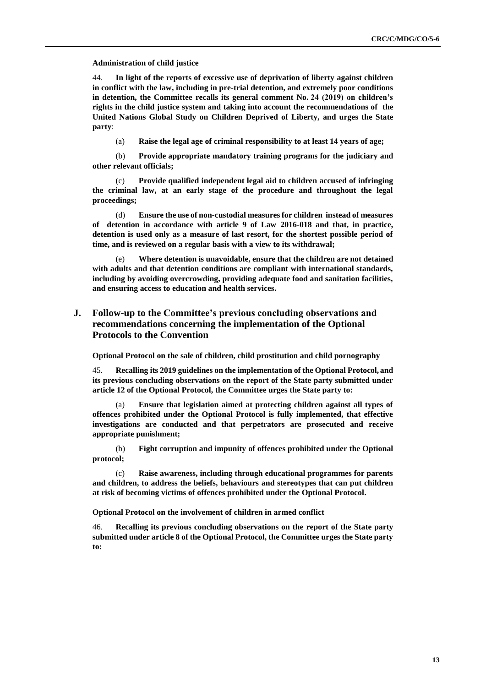#### **Administration of child justice**

44. **In light of the reports of excessive use of deprivation of liberty against children in conflict with the law, including in pre-trial detention, and extremely poor conditions in detention, the Committee recalls its general comment No. 24 (2019) on children's rights in the child justice system and taking into account the recommendations of the United Nations Global Study on Children Deprived of Liberty, and urges the State party**:

(a) **Raise the legal age of criminal responsibility to at least 14 years of age;**

(b) **Provide appropriate mandatory training programs for the judiciary and other relevant officials;**

(c) **Provide qualified independent legal aid to children accused of infringing the criminal law, at an early stage of the procedure and throughout the legal proceedings;** 

(d) **Ensure the use of non-custodial measures for children instead of measures of detention in accordance with article 9 of Law 2016-018 and that, in practice, detention is used only as a measure of last resort, for the shortest possible period of time, and is reviewed on a regular basis with a view to its withdrawal;**

(e) **Where detention is unavoidable, ensure that the children are not detained with adults and that detention conditions are compliant with international standards, including by avoiding overcrowding, providing adequate food and sanitation facilities, and ensuring access to education and health services.**

# **J. Follow-up to the Committee's previous concluding observations and recommendations concerning the implementation of the Optional Protocols to the Convention**

**Optional Protocol on the sale of children, child prostitution and child pornography**

45. **Recalling its 2019 guidelines on the implementation of the Optional Protocol, and its previous concluding observations on the report of the State party submitted under article 12 of the Optional Protocol, the Committee urges the State party to:**

(a) **Ensure that legislation aimed at protecting children against all types of offences prohibited under the Optional Protocol is fully implemented, that effective investigations are conducted and that perpetrators are prosecuted and receive appropriate punishment;**

(b) **Fight corruption and impunity of offences prohibited under the Optional protocol;** 

(c) **Raise awareness, including through educational programmes for parents and children, to address the beliefs, behaviours and stereotypes that can put children at risk of becoming victims of offences prohibited under the Optional Protocol.**

**Optional Protocol on the involvement of children in armed conflict**

46. **Recalling its previous concluding observations on the report of the State party submitted under article 8 of the Optional Protocol, the Committee urges the State party to:**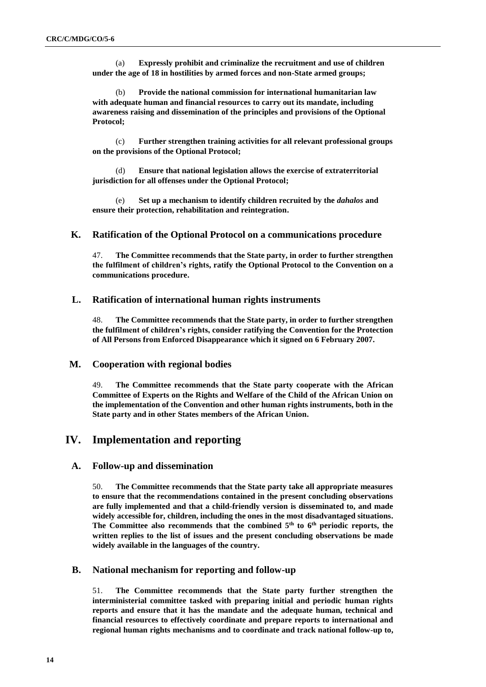(a) **Expressly prohibit and criminalize the recruitment and use of children under the age of 18 in hostilities by armed forces and non-State armed groups;**

(b) **Provide the national commission for international humanitarian law with adequate human and financial resources to carry out its mandate, including awareness raising and dissemination of the principles and provisions of the Optional Protocol;** 

(c) **Further strengthen training activities for all relevant professional groups on the provisions of the Optional Protocol;**

(d) **Ensure that national legislation allows the exercise of extraterritorial jurisdiction for all offenses under the Optional Protocol;** 

(e) **Set up a mechanism to identify children recruited by the** *dahalos* **and ensure their protection, rehabilitation and reintegration.**

# **K. Ratification of the Optional Protocol on a communications procedure**

47. **The Committee recommends that the State party, in order to further strengthen the fulfilment of children's rights, ratify the Optional Protocol to the Convention on a communications procedure.** 

### **L. Ratification of international human rights instruments**

48. **The Committee recommends that the State party, in order to further strengthen the fulfilment of children's rights, consider ratifying the Convention for the Protection of All Persons from Enforced Disappearance which it signed on 6 February 2007.** 

## **M. Cooperation with regional bodies**

49. **The Committee recommends that the State party cooperate with the African Committee of Experts on the Rights and Welfare of the Child of the African Union on the implementation of the Convention and other human rights instruments, both in the State party and in other States members of the African Union.**

# **IV. Implementation and reporting**

### **A. Follow-up and dissemination**

50. **The Committee recommends that the State party take all appropriate measures to ensure that the recommendations contained in the present concluding observations are fully implemented and that a child-friendly version is disseminated to, and made widely accessible for, children, including the ones in the most disadvantaged situations. The Committee also recommends that the combined 5 th to 6th periodic reports, the written replies to the list of issues and the present concluding observations be made widely available in the languages of the country.**

### **B. National mechanism for reporting and follow-up**

51. **The Committee recommends that the State party further strengthen the interministerial committee tasked with preparing initial and periodic human rights reports and ensure that it has the mandate and the adequate human, technical and financial resources to effectively coordinate and prepare reports to international and regional human rights mechanisms and to coordinate and track national follow-up to,**